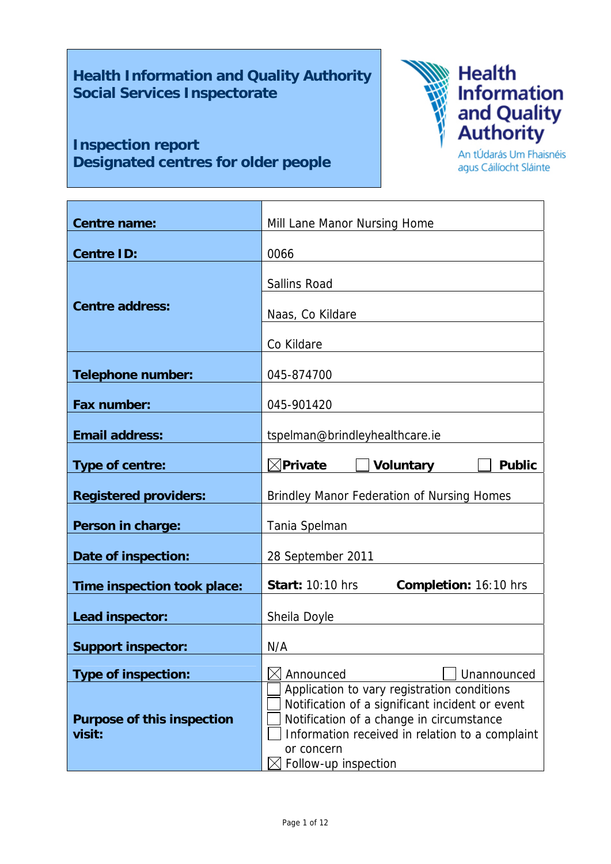**Health Information and Quality Authority Social Services Inspectorate** 

т

# **Inspection report Designated centres for older people**



An tÚdarás Um Fhaisnéis agus Cáilíocht Sláinte

 $\overline{\phantom{a}}$ 

| <b>Centre name:</b>               | Mill Lane Manor Nursing Home                                                                   |  |  |  |  |
|-----------------------------------|------------------------------------------------------------------------------------------------|--|--|--|--|
|                                   |                                                                                                |  |  |  |  |
| <b>Centre ID:</b>                 | 0066                                                                                           |  |  |  |  |
|                                   | <b>Sallins Road</b>                                                                            |  |  |  |  |
| <b>Centre address:</b>            | Naas, Co Kildare                                                                               |  |  |  |  |
|                                   |                                                                                                |  |  |  |  |
|                                   | Co Kildare                                                                                     |  |  |  |  |
| <b>Telephone number:</b>          | 045-874700                                                                                     |  |  |  |  |
| <b>Fax number:</b>                | 045-901420                                                                                     |  |  |  |  |
|                                   |                                                                                                |  |  |  |  |
| <b>Email address:</b>             | tspelman@brindleyhealthcare.ie                                                                 |  |  |  |  |
| Type of centre:                   | $\boxtimes$ Private<br><b>Voluntary</b><br><b>Public</b>                                       |  |  |  |  |
| <b>Registered providers:</b>      | <b>Brindley Manor Federation of Nursing Homes</b>                                              |  |  |  |  |
| Person in charge:                 | Tania Spelman                                                                                  |  |  |  |  |
|                                   |                                                                                                |  |  |  |  |
| Date of inspection:               | 28 September 2011                                                                              |  |  |  |  |
| Time inspection took place:       | <b>Start: 10:10 hrs</b><br>Completion: 16:10 hrs                                               |  |  |  |  |
| Lead inspector:                   | Sheila Doyle                                                                                   |  |  |  |  |
|                                   |                                                                                                |  |  |  |  |
| <b>Support inspector:</b>         | N/A                                                                                            |  |  |  |  |
| <b>Type of inspection:</b>        | Announced<br>Unannounced                                                                       |  |  |  |  |
|                                   | Application to vary registration conditions<br>Notification of a significant incident or event |  |  |  |  |
| <b>Purpose of this inspection</b> | Notification of a change in circumstance                                                       |  |  |  |  |
| visit:                            | Information received in relation to a complaint<br>or concern                                  |  |  |  |  |
|                                   | Follow-up inspection                                                                           |  |  |  |  |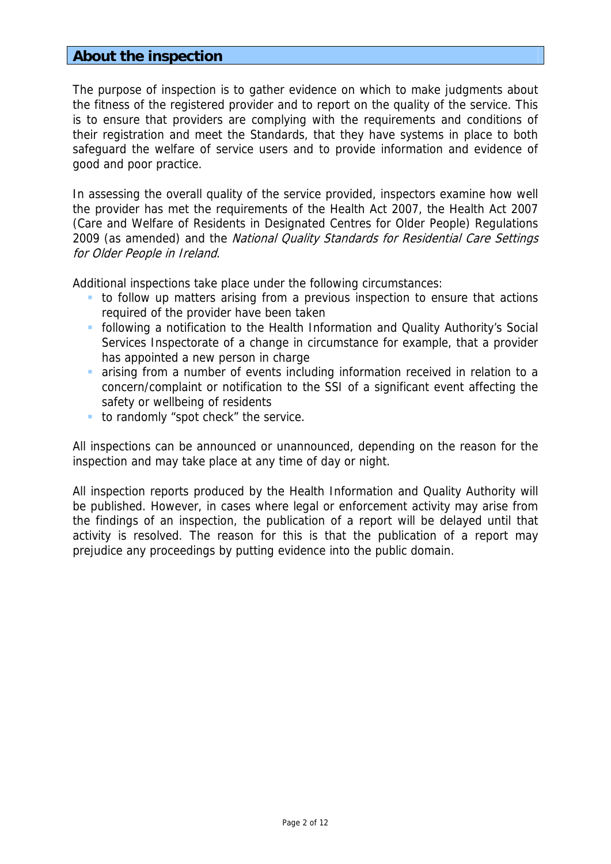## **About the inspection**

The purpose of inspection is to gather evidence on which to make judgments about the fitness of the registered provider and to report on the quality of the service. This is to ensure that providers are complying with the requirements and conditions of their registration and meet the Standards, that they have systems in place to both safeguard the welfare of service users and to provide information and evidence of good and poor practice.

In assessing the overall quality of the service provided, inspectors examine how well the provider has met the requirements of the Health Act 2007, the Health Act 2007 (Care and Welfare of Residents in Designated Centres for Older People) Regulations 2009 (as amended) and the National Quality Standards for Residential Care Settings for Older People in Ireland.

Additional inspections take place under the following circumstances:

- to follow up matters arising from a previous inspection to ensure that actions required of the provider have been taken
- following a notification to the Health Information and Quality Authority's Social Services Inspectorate of a change in circumstance for example, that a provider has appointed a new person in charge
- arising from a number of events including information received in relation to a concern/complaint or notification to the SSI of a significant event affecting the safety or wellbeing of residents
- to randomly "spot check" the service.

All inspections can be announced or unannounced, depending on the reason for the inspection and may take place at any time of day or night.

All inspection reports produced by the Health Information and Quality Authority will be published. However, in cases where legal or enforcement activity may arise from the findings of an inspection, the publication of a report will be delayed until that activity is resolved. The reason for this is that the publication of a report may prejudice any proceedings by putting evidence into the public domain.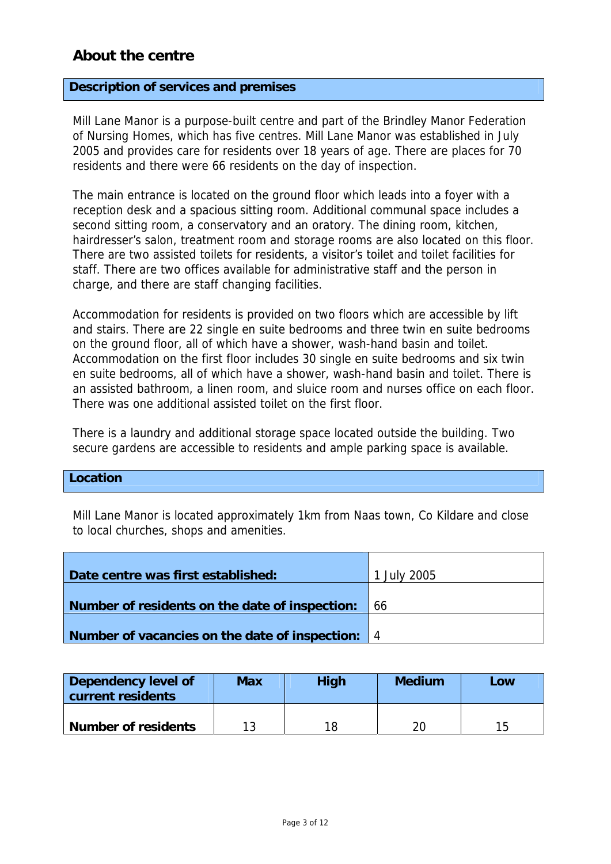## **About the centre**

#### **Description of services and premises**

Mill Lane Manor is a purpose-built centre and part of the Brindley Manor Federation of Nursing Homes, which has five centres. Mill Lane Manor was established in July 2005 and provides care for residents over 18 years of age. There are places for 70 residents and there were 66 residents on the day of inspection.

The main entrance is located on the ground floor which leads into a foyer with a reception desk and a spacious sitting room. Additional communal space includes a second sitting room, a conservatory and an oratory. The dining room, kitchen, hairdresser's salon, treatment room and storage rooms are also located on this floor. There are two assisted toilets for residents, a visitor's toilet and toilet facilities for staff. There are two offices available for administrative staff and the person in charge, and there are staff changing facilities.

Accommodation for residents is provided on two floors which are accessible by lift and stairs. There are 22 single en suite bedrooms and three twin en suite bedrooms on the ground floor, all of which have a shower, wash-hand basin and toilet. Accommodation on the first floor includes 30 single en suite bedrooms and six twin en suite bedrooms, all of which have a shower, wash-hand basin and toilet. There is an assisted bathroom, a linen room, and sluice room and nurses office on each floor. There was one additional assisted toilet on the first floor.

There is a laundry and additional storage space located outside the building. Two secure gardens are accessible to residents and ample parking space is available.

#### **Location**

Mill Lane Manor is located approximately 1km from Naas town, Co Kildare and close to local churches, shops and amenities.

| Date centre was first established:                 | 1 July 2005 |
|----------------------------------------------------|-------------|
|                                                    |             |
| Number of residents on the date of inspection:     | 66          |
|                                                    |             |
| Number of vacancies on the date of inspection:   4 |             |

| Dependency level of<br>current residents | <b>Max</b> | <b>High</b> | <b>Medium</b> | Low |  |
|------------------------------------------|------------|-------------|---------------|-----|--|
| <b>Number of residents</b>               | 12         | 18          |               | 15  |  |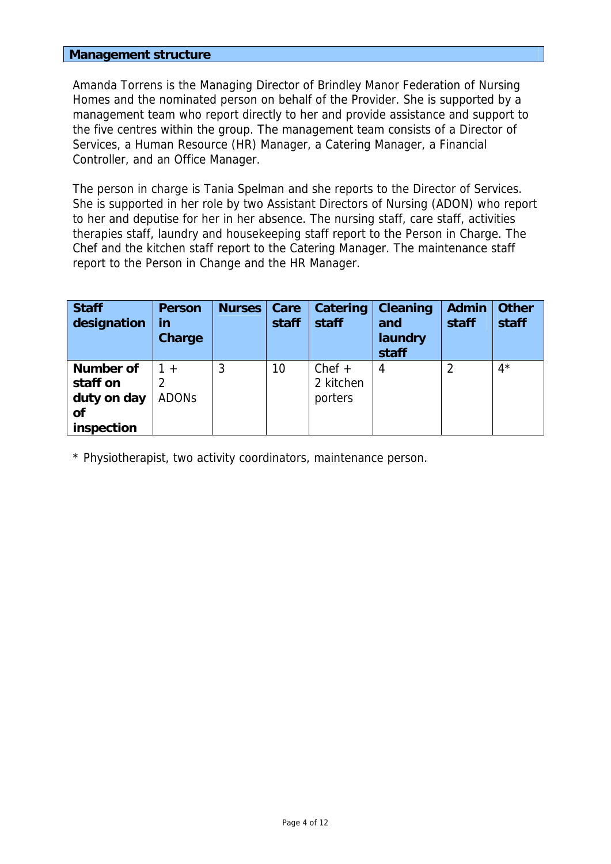#### **Management structure**

Amanda Torrens is the Managing Director of Brindley Manor Federation of Nursing Homes and the nominated person on behalf of the Provider. She is supported by a management team who report directly to her and provide assistance and support to the five centres within the group. The management team consists of a Director of Services, a Human Resource (HR) Manager, a Catering Manager, a Financial Controller, and an Office Manager.

The person in charge is Tania Spelman and she reports to the Director of Services. She is supported in her role by two Assistant Directors of Nursing (ADON) who report to her and deputise for her in her absence. The nursing staff, care staff, activities therapies staff, laundry and housekeeping staff report to the Person in Charge. The Chef and the kitchen staff report to the Catering Manager. The maintenance staff report to the Person in Change and the HR Manager.

| <b>Staff</b><br>designation | <b>Person</b><br>in<br><b>Charge</b> | <b>Nurses</b> | Care<br>staff | Catering<br>staff | <b>Cleaning</b><br>and<br>laundry<br>staff | <b>Admin</b><br>staff | <b>Other</b><br>staff |
|-----------------------------|--------------------------------------|---------------|---------------|-------------------|--------------------------------------------|-----------------------|-----------------------|
| <b>Number of</b>            | $+$                                  | 3             | 10            | $Chef +$          | 4                                          | 2                     | $4^{\star}$           |
| staff on                    |                                      |               |               | 2 kitchen         |                                            |                       |                       |
| duty on day                 | <b>ADONS</b>                         |               |               | porters           |                                            |                       |                       |
| of                          |                                      |               |               |                   |                                            |                       |                       |
| inspection                  |                                      |               |               |                   |                                            |                       |                       |

\* Physiotherapist, two activity coordinators, maintenance person.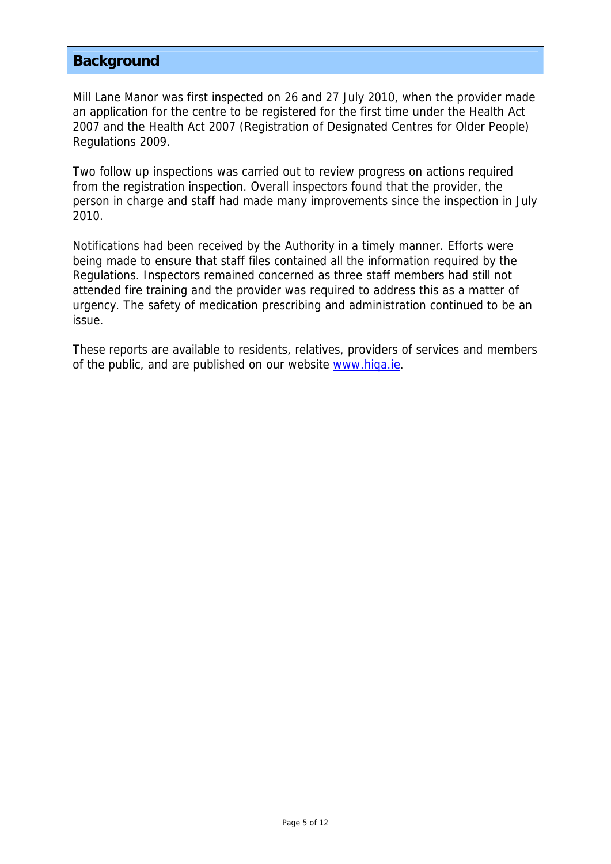## **Background**

Mill Lane Manor was first inspected on 26 and 27 July 2010, when the provider made an application for the centre to be registered for the first time under the Health Act 2007 and the Health Act 2007 (Registration of Designated Centres for Older People) Regulations 2009.

Two follow up inspections was carried out to review progress on actions required from the registration inspection. Overall inspectors found that the provider, the person in charge and staff had made many improvements since the inspection in July 2010.

Notifications had been received by the Authority in a timely manner. Efforts were being made to ensure that staff files contained all the information required by the Regulations. Inspectors remained concerned as three staff members had still not attended fire training and the provider was required to address this as a matter of urgency. The safety of medication prescribing and administration continued to be an issue.

These reports are available to residents, relatives, providers of services and members of the public, and are published on our website www.hiqa.ie.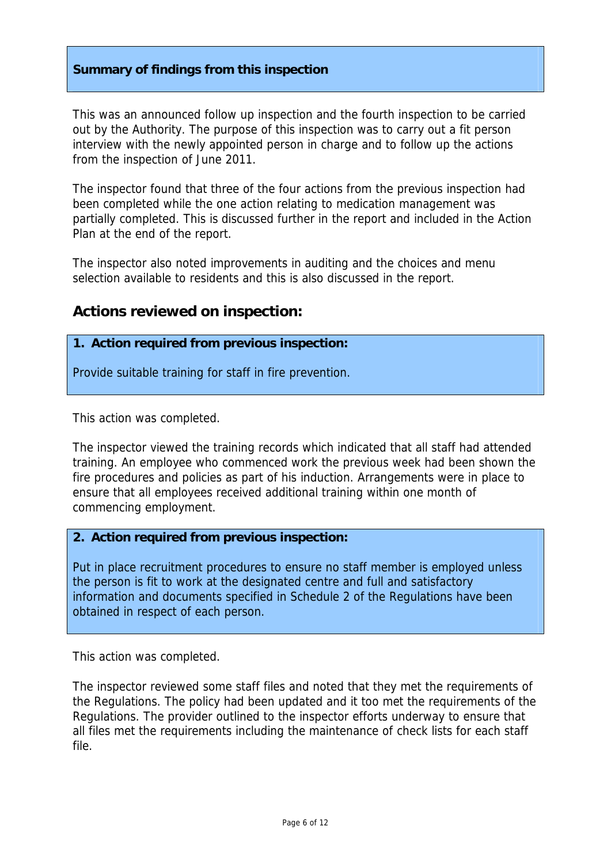### **Summary of findings from this inspection**

This was an announced follow up inspection and the fourth inspection to be carried out by the Authority. The purpose of this inspection was to carry out a fit person interview with the newly appointed person in charge and to follow up the actions from the inspection of June 2011.

The inspector found that three of the four actions from the previous inspection had been completed while the one action relating to medication management was partially completed. This is discussed further in the report and included in the Action Plan at the end of the report.

The inspector also noted improvements in auditing and the choices and menu selection available to residents and this is also discussed in the report.

## **Actions reviewed on inspection:**

#### **1. Action required from previous inspection:**

Provide suitable training for staff in fire prevention.

This action was completed.

The inspector viewed the training records which indicated that all staff had attended training. An employee who commenced work the previous week had been shown the fire procedures and policies as part of his induction. Arrangements were in place to ensure that all employees received additional training within one month of commencing employment.

#### **2. Action required from previous inspection:**

Put in place recruitment procedures to ensure no staff member is employed unless the person is fit to work at the designated centre and full and satisfactory information and documents specified in Schedule 2 of the Regulations have been obtained in respect of each person.

This action was completed.

The inspector reviewed some staff files and noted that they met the requirements of the Regulations. The policy had been updated and it too met the requirements of the Regulations. The provider outlined to the inspector efforts underway to ensure that all files met the requirements including the maintenance of check lists for each staff file.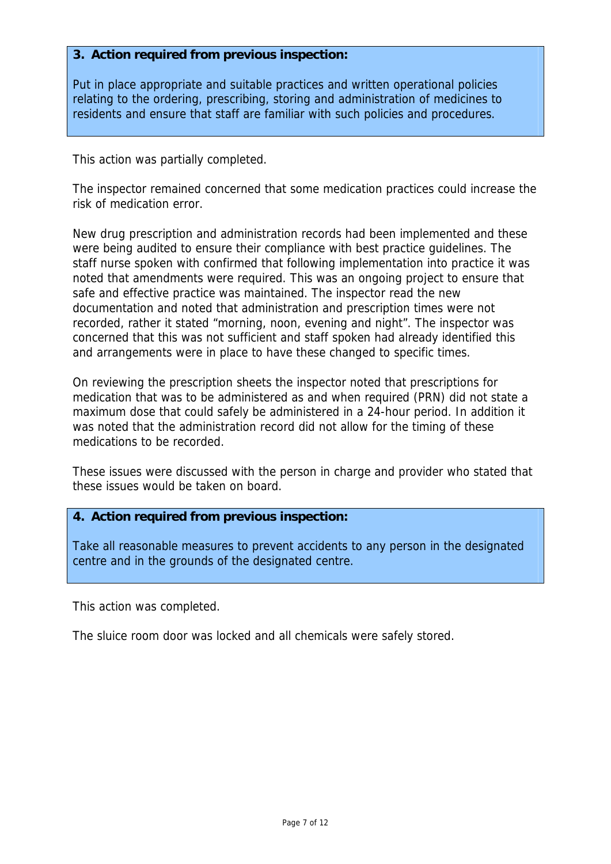#### **3. Action required from previous inspection:**

Put in place appropriate and suitable practices and written operational policies relating to the ordering, prescribing, storing and administration of medicines to residents and ensure that staff are familiar with such policies and procedures.

This action was partially completed.

The inspector remained concerned that some medication practices could increase the risk of medication error.

New drug prescription and administration records had been implemented and these were being audited to ensure their compliance with best practice guidelines. The staff nurse spoken with confirmed that following implementation into practice it was noted that amendments were required. This was an ongoing project to ensure that safe and effective practice was maintained. The inspector read the new documentation and noted that administration and prescription times were not recorded, rather it stated "morning, noon, evening and night". The inspector was concerned that this was not sufficient and staff spoken had already identified this and arrangements were in place to have these changed to specific times.

On reviewing the prescription sheets the inspector noted that prescriptions for medication that was to be administered as and when required (PRN) did not state a maximum dose that could safely be administered in a 24-hour period. In addition it was noted that the administration record did not allow for the timing of these medications to be recorded.

These issues were discussed with the person in charge and provider who stated that these issues would be taken on board.

#### **4. Action required from previous inspection:**

Take all reasonable measures to prevent accidents to any person in the designated centre and in the grounds of the designated centre.

This action was completed.

The sluice room door was locked and all chemicals were safely stored.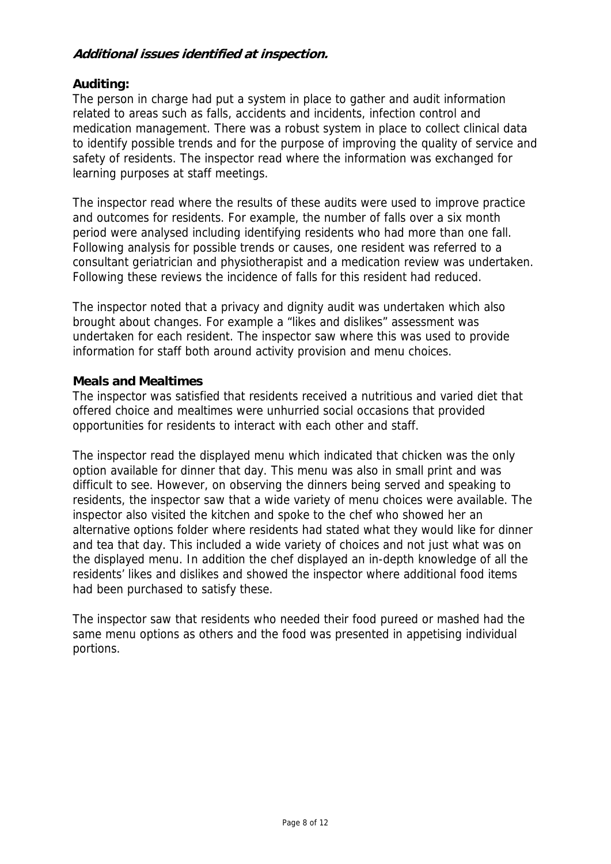## **Additional issues identified at inspection.**

### **Auditing:**

The person in charge had put a system in place to gather and audit information related to areas such as falls, accidents and incidents, infection control and medication management. There was a robust system in place to collect clinical data to identify possible trends and for the purpose of improving the quality of service and safety of residents. The inspector read where the information was exchanged for learning purposes at staff meetings.

The inspector read where the results of these audits were used to improve practice and outcomes for residents. For example, the number of falls over a six month period were analysed including identifying residents who had more than one fall. Following analysis for possible trends or causes, one resident was referred to a consultant geriatrician and physiotherapist and a medication review was undertaken. Following these reviews the incidence of falls for this resident had reduced.

The inspector noted that a privacy and dignity audit was undertaken which also brought about changes. For example a "likes and dislikes" assessment was undertaken for each resident. The inspector saw where this was used to provide information for staff both around activity provision and menu choices.

#### **Meals and Mealtimes**

The inspector was satisfied that residents received a nutritious and varied diet that offered choice and mealtimes were unhurried social occasions that provided opportunities for residents to interact with each other and staff.

The inspector read the displayed menu which indicated that chicken was the only option available for dinner that day. This menu was also in small print and was difficult to see. However, on observing the dinners being served and speaking to residents, the inspector saw that a wide variety of menu choices were available. The inspector also visited the kitchen and spoke to the chef who showed her an alternative options folder where residents had stated what they would like for dinner and tea that day. This included a wide variety of choices and not just what was on the displayed menu. In addition the chef displayed an in-depth knowledge of all the residents' likes and dislikes and showed the inspector where additional food items had been purchased to satisfy these.

The inspector saw that residents who needed their food pureed or mashed had the same menu options as others and the food was presented in appetising individual portions.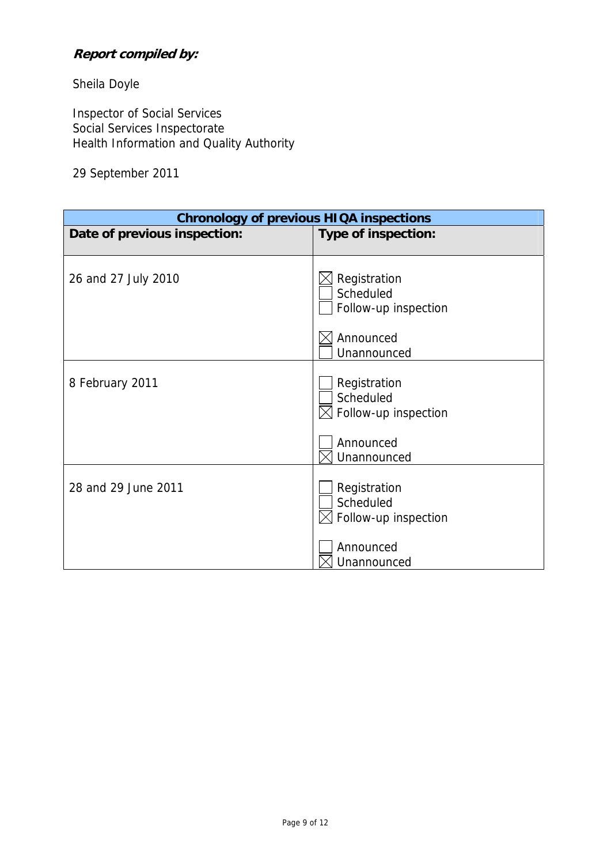## **Report compiled by:**

Sheila Doyle

Inspector of Social Services Social Services Inspectorate Health Information and Quality Authority

## 29 September 2011

| <b>Chronology of previous HIQA inspections</b> |                                                         |  |  |  |
|------------------------------------------------|---------------------------------------------------------|--|--|--|
| Date of previous inspection:                   | Type of inspection:                                     |  |  |  |
|                                                |                                                         |  |  |  |
| 26 and 27 July 2010                            | Registration<br>Scheduled<br>Follow-up inspection       |  |  |  |
|                                                | Announced<br>Unannounced                                |  |  |  |
| 8 February 2011                                | Registration<br>Scheduled<br>$\le$ Follow-up inspection |  |  |  |
|                                                | Announced<br>Unannounced                                |  |  |  |
| 28 and 29 June 2011                            | Registration<br>Scheduled<br>Follow-up inspection       |  |  |  |
|                                                | Announced<br>Unannounced                                |  |  |  |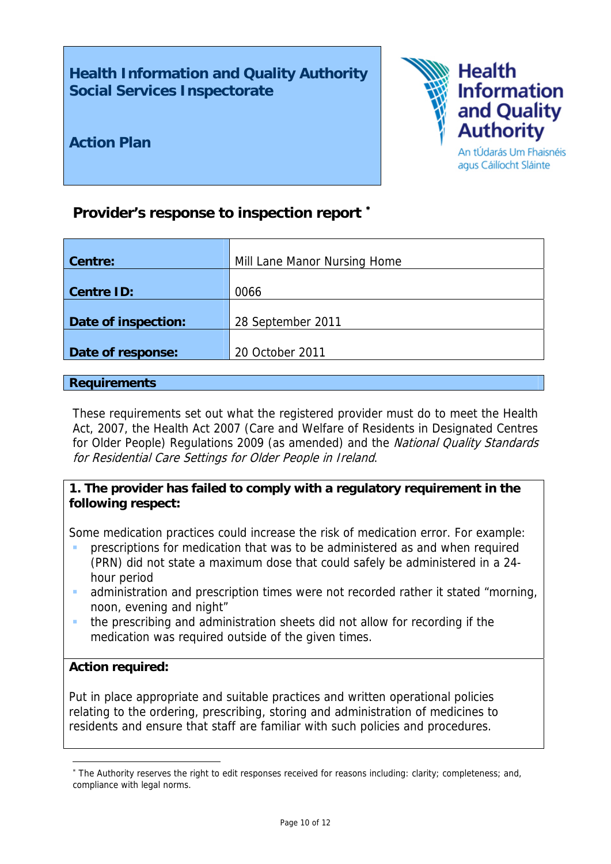**Health Information and Quality Authority Social Services Inspectorate** 



**Action Plan** 

## **Provider's response to inspection report** [∗](#page-9-0)

| Centre:             | Mill Lane Manor Nursing Home |
|---------------------|------------------------------|
| <b>Centre ID:</b>   | 0066                         |
| Date of inspection: | 28 September 2011            |
| Date of response:   | 20 October 2011              |

#### **Requirements**

These requirements set out what the registered provider must do to meet the Health Act, 2007, the Health Act 2007 (Care and Welfare of Residents in Designated Centres for Older People) Regulations 2009 (as amended) and the National Quality Standards for Residential Care Settings for Older People in Ireland.

## **1. The provider has failed to comply with a regulatory requirement in the following respect:**

Some medication practices could increase the risk of medication error. For example:

- prescriptions for medication that was to be administered as and when required (PRN) did not state a maximum dose that could safely be administered in a 24 hour period
- administration and prescription times were not recorded rather it stated "morning, noon, evening and night"
- the prescribing and administration sheets did not allow for recording if the medication was required outside of the given times.

#### **Action required:**

1

Put in place appropriate and suitable practices and written operational policies relating to the ordering, prescribing, storing and administration of medicines to residents and ensure that staff are familiar with such policies and procedures.

<span id="page-9-0"></span><sup>∗</sup> The Authority reserves the right to edit responses received for reasons including: clarity; completeness; and, compliance with legal norms.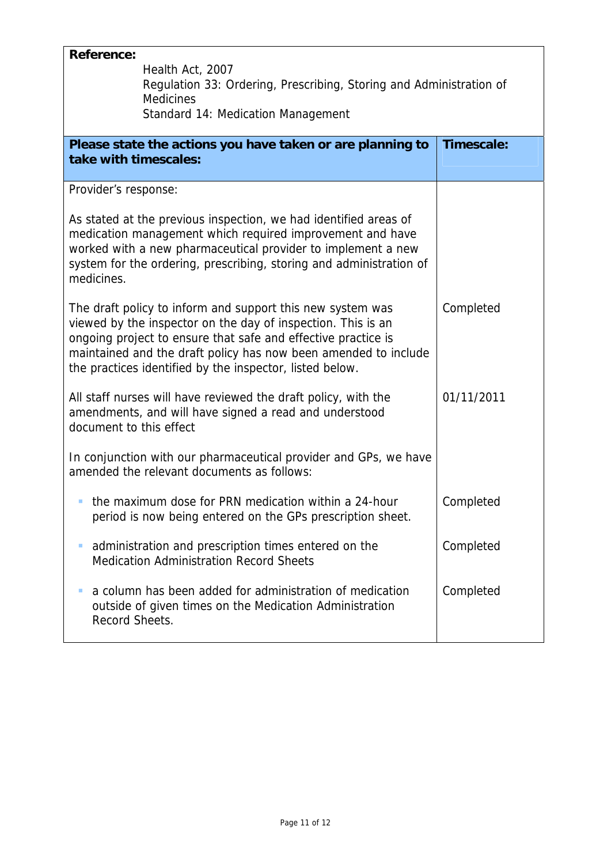| <b>Reference:</b><br>Health Act, 2007<br>Regulation 33: Ordering, Prescribing, Storing and Administration of<br><b>Medicines</b><br><b>Standard 14: Medication Management</b>                                                                                                                                              |            |  |  |  |
|----------------------------------------------------------------------------------------------------------------------------------------------------------------------------------------------------------------------------------------------------------------------------------------------------------------------------|------------|--|--|--|
| Please state the actions you have taken or are planning to<br>take with timescales:                                                                                                                                                                                                                                        | Timescale: |  |  |  |
| Provider's response:<br>As stated at the previous inspection, we had identified areas of<br>medication management which required improvement and have<br>worked with a new pharmaceutical provider to implement a new<br>system for the ordering, prescribing, storing and administration of<br>medicines.                 |            |  |  |  |
| The draft policy to inform and support this new system was<br>viewed by the inspector on the day of inspection. This is an<br>ongoing project to ensure that safe and effective practice is<br>maintained and the draft policy has now been amended to include<br>the practices identified by the inspector, listed below. | Completed  |  |  |  |
| All staff nurses will have reviewed the draft policy, with the<br>amendments, and will have signed a read and understood<br>document to this effect                                                                                                                                                                        | 01/11/2011 |  |  |  |
| In conjunction with our pharmaceutical provider and GPs, we have<br>amended the relevant documents as follows:                                                                                                                                                                                                             |            |  |  |  |
| • the maximum dose for PRN medication within a 24-hour<br>period is now being entered on the GPs prescription sheet.                                                                                                                                                                                                       | Completed  |  |  |  |
| administration and prescription times entered on the<br>ш<br><b>Medication Administration Record Sheets</b>                                                                                                                                                                                                                | Completed  |  |  |  |
| a column has been added for administration of medication<br>outside of given times on the Medication Administration<br>Record Sheets.                                                                                                                                                                                      | Completed  |  |  |  |